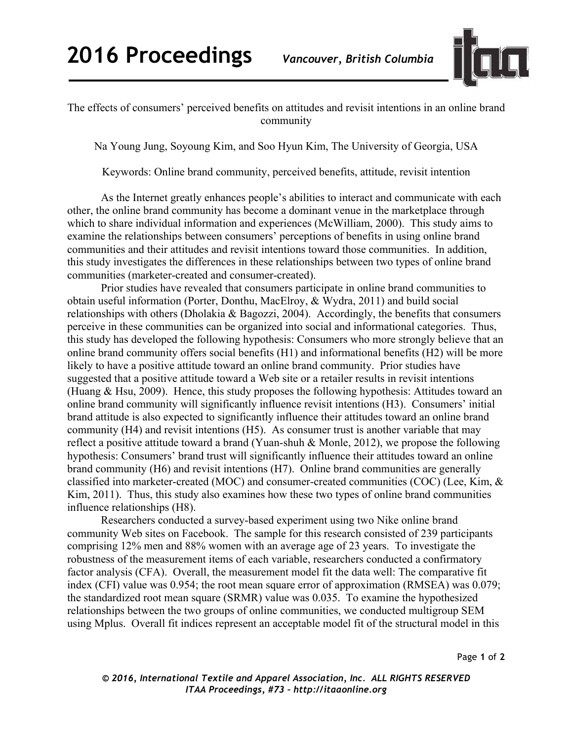

The effects of consumers' perceived benefits on attitudes and revisit intentions in an online brand community

Na Young Jung, Soyoung Kim, and Soo Hyun Kim, The University of Georgia, USA

Keywords: Online brand community, perceived benefits, attitude, revisit intention

As the Internet greatly enhances people's abilities to interact and communicate with each other, the online brand community has become a dominant venue in the marketplace through which to share individual information and experiences (McWilliam, 2000). This study aims to examine the relationships between consumers' perceptions of benefits in using online brand communities and their attitudes and revisit intentions toward those communities. In addition, this study investigates the differences in these relationships between two types of online brand communities (marketer-created and consumer-created).

Prior studies have revealed that consumers participate in online brand communities to obtain useful information (Porter, Donthu, MacElroy, & Wydra, 2011) and build social relationships with others (Dholakia & Bagozzi, 2004). Accordingly, the benefits that consumers perceive in these communities can be organized into social and informational categories. Thus, this study has developed the following hypothesis: Consumers who more strongly believe that an online brand community offers social benefits (H1) and informational benefits (H2) will be more likely to have a positive attitude toward an online brand community. Prior studies have suggested that a positive attitude toward a Web site or a retailer results in revisit intentions (Huang & Hsu, 2009). Hence, this study proposes the following hypothesis: Attitudes toward an online brand community will significantly influence revisit intentions (H3). Consumers' initial brand attitude is also expected to significantly influence their attitudes toward an online brand community (H4) and revisit intentions (H5). As consumer trust is another variable that may reflect a positive attitude toward a brand (Yuan-shuh & Monle, 2012), we propose the following hypothesis: Consumers' brand trust will significantly influence their attitudes toward an online brand community (H6) and revisit intentions (H7). Online brand communities are generally classified into marketer-created (MOC) and consumer-created communities (COC) (Lee, Kim, & Kim, 2011). Thus, this study also examines how these two types of online brand communities influence relationships (H8).

Researchers conducted a survey-based experiment using two Nike online brand community Web sites on Facebook. The sample for this research consisted of 239 participants comprising 12% men and 88% women with an average age of 23 years. To investigate the robustness of the measurement items of each variable, researchers conducted a confirmatory factor analysis (CFA). Overall, the measurement model fit the data well: The comparative fit index (CFI) value was 0.954; the root mean square error of approximation (RMSEA) was 0.079; the standardized root mean square (SRMR) value was 0.035. To examine the hypothesized relationships between the two groups of online communities, we conducted multigroup SEM using Mplus. Overall fit indices represent an acceptable model fit of the structural model in this

Page **1** of **2**

*© 2016, International Textile and Apparel Association, Inc. ALL RIGHTS RESERVED ITAA Proceedings, #73 – http://itaaonline.org*